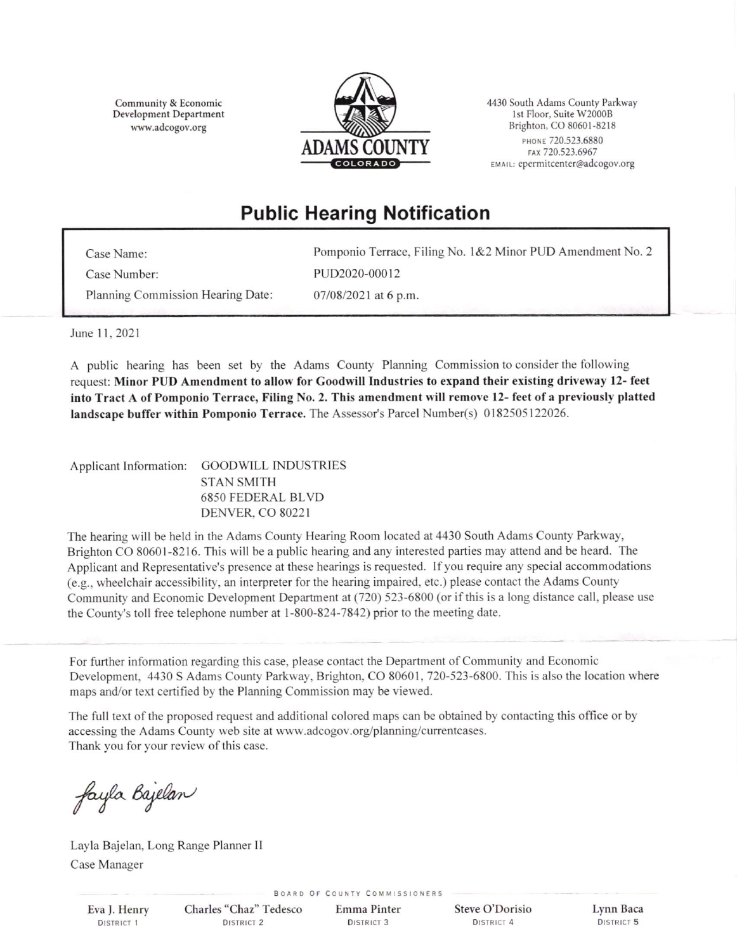Community & Economic Development Department wvw.adcogov.org



4430 South Adams County Parkway lst Floor, Suite w20008 Brighton, CO 80601-8218 PHONE 720.523.6880 FAX 720.523.6967 EMAIL: epermitcenter@adcogov.org

## Public Hearing Notification

| Case Name:                        | Pomponio Terrace, Filing No. 1&2 Minor PUD Amendment No. 2 |
|-----------------------------------|------------------------------------------------------------|
| Case Number:                      | PUD2020-00012                                              |
| Planning Commission Hearing Date: | $07/08/2021$ at 6 p.m.                                     |

June 11, 2021

A public hearing has been set by the Adams County Planning Commission to consider the following request: Minor PUD Amendment to allow for Goodwill Industries to expand their existing driveway 12- feet into Tract A of Pomponio Terrace, Filing No. 2. This amendment will remove 12- feet of a previously platted landscape buffer within Pomponio Terrace. The Assessor's Parcel Number(s) 0182505 122026.

Applicant lnformation: GOODWILL INDUSTRIES STAN SMITH 6850 FEDERAL BLVD DENVER. CO 8022I

The hearing will be held in the Adams County Hearing Room located at 4430 South Adams County Parkway, Brighton CO 80601-8216. This will be a public hearing and any interested parties may attend and be heard. The Applicant and Representative's presence at these hearings is requested. If you require any special accommodations (e.g., wheelchair accessibility, an interpreter for the hearing impaired, etc.) please contact the Adams County Community and Economic Development Department at (720) 523-6800 (or ifthis is a long distance call, please use the County's toll free telephone number at 1-800-824-7842) prior to the meeting date.

For further information regarding this case, please contact the Department of Community and Economic Development, 4430 S Adams County Parkway, Brighton, CO 80601, 720-523-6800. This is also the location where maps and/or text certified by the Planning Commission may be viewed.

The full text of the proposed request and additional colored maps can be obtained by contacting this office or by accessing the Adams County web site at www.adcogov.org/planning/currentcases. Thank you for your review of this case.

fayla Bajelan

Layla Bajelan, Long Range Planner II Case Manager

Eva f. Henry DISTRICT 1

Charles "Chaz" Tedesco

BOARD OF COUNTY COMMISSIONERS

Emma Pinter

Steve O'Dorisio Lynn Baca DISTRICT 2 DISTRICT 3 DISTRICT 4 DISTRICT 5